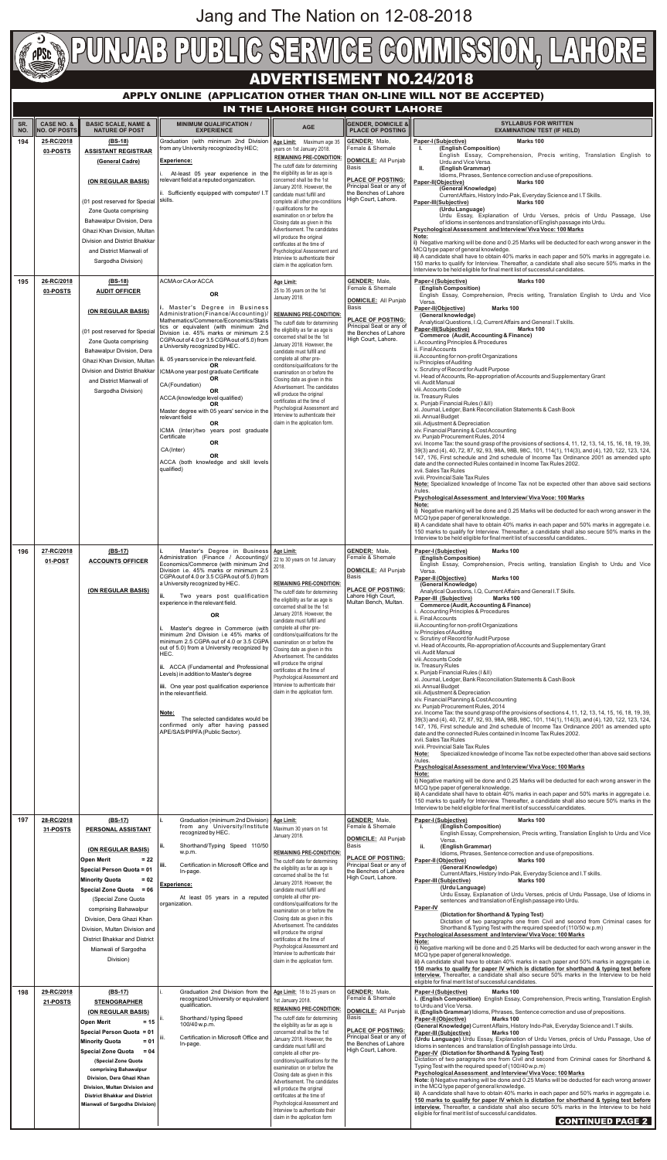## **APPLY ONLINE (APPLICATION OTHER THAN ON-LINE WILL NOT BE ACCEPTED)**

| SR.<br>NO. | <b>CASE NO. &amp;</b><br><b>NO. OF POSTS</b> | <b>BASIC SCALE, NAME &amp;</b><br><b>NATURE OF POST</b>                       | <b>MINIMUM QUALIFICATION /</b><br><b>EXPERIENCE</b>                                                                             | <b>AGE</b>                                                                                         | <b>GENDER, DOMICILE &amp;</b><br><b>PLACE OF POSTING</b>                      | <b>SYLLABUS FOR WRITTEN</b><br><b>EXAMINATION/ TEST (IF HELD)</b>                                                                                                                                                                                                                                      |
|------------|----------------------------------------------|-------------------------------------------------------------------------------|---------------------------------------------------------------------------------------------------------------------------------|----------------------------------------------------------------------------------------------------|-------------------------------------------------------------------------------|--------------------------------------------------------------------------------------------------------------------------------------------------------------------------------------------------------------------------------------------------------------------------------------------------------|
| 194        | 25-RC/2018                                   | $(BS-18)$                                                                     | Graduation (with minimum 2nd Division<br>from any University recognized by HEC;                                                 | Age Limit: Maximum age 35                                                                          | <b>GENDER:</b> Male,<br>Female & Shemale                                      | Paper-I (Subjective)<br>Marks 100<br>(English Composition)<br>Ъ.                                                                                                                                                                                                                                       |
|            | 03-POSTS                                     | <b>ASSISTANT REGISTRAR</b><br>(General Cadre)                                 | <b>Experience:</b>                                                                                                              | years on 1st January 2018.<br><b>REMAINING PRE-CONDITION</b>                                       | <b>DOMICILE:</b> All Punjab                                                   | English Essay, Comprehension, Precis writing, Translation English to<br>Urdu and Vice Versa.                                                                                                                                                                                                           |
|            |                                              |                                                                               | At-least 05 year experience in the                                                                                              | The cutoff date for determining<br>the eligibility as far as age is                                | Basis                                                                         | (English Grammar)<br>Ш.<br>Idioms, Phrases, Sentence correction and use of prepositions.                                                                                                                                                                                                               |
|            |                                              | (ON REGULAR BASIS)                                                            | relevant field at a reputed organization.<br>ii. Sufficiently equipped with computer/ I.T                                       | concerned shall be the 1st<br>January 2018. However, the<br>candidate must fulfill and             | <b>PLACE OF POSTING:</b><br>Principal Seat or any of<br>the Benches of Lahore | Marks 100<br>Paper-II(Objective)<br>(General Knowledge)                                                                                                                                                                                                                                                |
|            |                                              | (01 post reserved for Special                                                 | skills.                                                                                                                         | complete all other pre-conditions<br>/ qualifications for the                                      | High Court, Lahore.                                                           | Current Affairs, History Indo-Pak, Everyday Science and I.T Skills.<br>Paper-III(Subjective)<br>Marks 100<br>(Urdu Language)                                                                                                                                                                           |
|            |                                              | Zone Quota comprising<br>Bahawalpur Division, Dera                            |                                                                                                                                 | examination on or before the<br>Closing date as given in this                                      |                                                                               | Urdu Essay, Explanation of Urdu Verses, précis of Urdu Passage, Use<br>of Idioms in sentences and translation of English passage into Urdu.                                                                                                                                                            |
|            |                                              | Ghazi Khan Division, Multan                                                   |                                                                                                                                 | Advertisement. The candidates<br>will produce the original                                         |                                                                               | Psychological Assessment and Interview/Viva Voce: 100 Marks<br>Note:                                                                                                                                                                                                                                   |
|            |                                              | Division and District Bhakkar<br>and District Mianwali of                     |                                                                                                                                 | certificates at the time of<br>Psychological Assessment and                                        |                                                                               | i) Negative marking will be done and 0.25 Marks will be deducted for each wrong answer in the<br>MCQ type paper of general knowledge.                                                                                                                                                                  |
|            |                                              | Sargodha Division)                                                            |                                                                                                                                 | Interview to authenticate their<br>claim in the application form.                                  |                                                                               | ii) A candidate shall have to obtain 40% marks in each paper and 50% marks in aggregate i.e.<br>150 marks to qualify for Interview. Thereafter, a candidate shall also secure 50% marks in the<br>Interview to be held eligible for final merit list of successful candidates.                         |
| 195        | 26-RC/2018                                   | $(BS-18)$                                                                     | ACMA or CA or ACCA                                                                                                              | Age Limit:                                                                                         | <b>GENDER:</b> Male,                                                          | Paper-I (Subjective)<br>Marks 100                                                                                                                                                                                                                                                                      |
|            | 03-POSTS                                     | <b>AUDIT OFFICER</b>                                                          | <b>OR</b>                                                                                                                       | 25 to 35 years on the 1st<br>January 2018.                                                         | Female & Shemale<br><b>DOMICILE:</b> All Punjab                               | (English Composition)<br>English Essay, Comprehension, Precis writing, Translation English to Urdu and Vice<br>Versa.                                                                                                                                                                                  |
|            |                                              | (ON REGULAR BASIS)                                                            | i. Master's Degree in Business<br>Administration(Finance/Accounting)/<br>Mathematics/Commerce/Economics/Statis                  | <b>REMAINING PRE-CONDITION</b>                                                                     | <b>Basis</b><br><b>PLACE OF POSTING:</b>                                      | Paper-II(Objective)<br>Marks 100<br>(General knowledge)                                                                                                                                                                                                                                                |
|            |                                              | (01 post reserved for Special                                                 | tics or equivalent (with minimum 2nd<br>Division i.e. 45% marks or minimum 2.5                                                  | The cutoff date for determining<br>the eligibility as far as age is                                | Principal Seat or any of<br>the Benches of Lahore                             | Analytical Questions, I.Q, Current Affairs and General I.T skills.<br>Paper-III(Subjective)<br>Marks 100<br><b>Commerce (Audit, Accounting &amp; Finance)</b>                                                                                                                                          |
|            |                                              | Zone Quota comprising<br>Bahawalpur Division, Dera                            | CGPA out of 4.0 or 3.5 CGPA out of 5.0) from<br>a University recognized by HEC.                                                 | concerned shall be the 1st<br>January 2018. However, the<br>candidate must fulfill and             | High Court, Lahore.                                                           | i. Accounting Principles & Procedures<br>ii. Final Accounts                                                                                                                                                                                                                                            |
|            |                                              | Ghazi Khan Division, Multan                                                   | ii. 05 years service in the relevant field.<br><b>OR</b>                                                                        | complete all other pre-<br>conditions/qualifications for the                                       |                                                                               | iii. Accounting for non-profit Organizations<br>iv. Principles of Auditing                                                                                                                                                                                                                             |
|            |                                              | Division and District Bhakkar<br>and District Mianwali of                     | ICMA one year post graduate Certificate<br><b>OR</b>                                                                            | examination on or before the<br>Closing date as given in this                                      |                                                                               | v. Scrutiny of Record for Audit Purpose<br>vi. Head of Accounts, Re-appropriation of Accounts and Supplementary Grant<br>vii. Audit Manual                                                                                                                                                             |
|            |                                              | Sargodha Division)                                                            | CA(Foundation)<br><b>OR</b>                                                                                                     | Advertisement. The candidates<br>will produce the original                                         |                                                                               | viii. Accounts Code<br>ix. Treasury Rules                                                                                                                                                                                                                                                              |
|            |                                              |                                                                               | ACCA (knowledge level qualified)<br><b>OR</b><br>Master degree with 05 years' service in the                                    | certificates at the time of<br>Psychological Assessment and                                        |                                                                               | x. Punjab Financial Rules (I &II)<br>xi. Journal, Ledger, Bank Reconciliation Statements & Cash Book                                                                                                                                                                                                   |
|            |                                              |                                                                               | relevant field<br>0R                                                                                                            | Interview to authenticate their<br>claim in the application form.                                  |                                                                               | xii. Annual Budget<br>xiii. Adjustment & Depreciation                                                                                                                                                                                                                                                  |
|            |                                              |                                                                               | ICMA (Inter)/two years post graduate<br>Certificate<br><b>OR</b>                                                                |                                                                                                    |                                                                               | xiv. Financial Planning & Cost Accounting<br>xv. Punjab Procurement Rules, 2014<br>xvi. Income Tax: the sound grasp of the provisions of sections 4, 11, 12, 13, 14, 15, 16, 18, 19, 39,                                                                                                               |
|            |                                              |                                                                               | CA(Inter)<br><b>OR</b>                                                                                                          |                                                                                                    |                                                                               | 39(3) and (4), 40, 72, 87, 92, 93, 98A, 98B, 98C, 101, 114(1), 114(3), and (4), 120, 122, 123, 124,<br>147, 176, First schedule and 2nd schedule of Income Tax Ordinance 2001 as amended upto                                                                                                          |
|            |                                              |                                                                               | ACCA (both knowledge and skill levels<br>qualified)                                                                             |                                                                                                    |                                                                               | date and the connected Rules contained in Income Tax Rules 2002.<br>xvii. Sales Tax Rules                                                                                                                                                                                                              |
|            |                                              |                                                                               |                                                                                                                                 |                                                                                                    |                                                                               | xviii. Provincial Sale Tax Rules<br>Note: Specialized knowledge of Income Tax not be expected other than above said sections<br>/rules.                                                                                                                                                                |
|            |                                              |                                                                               |                                                                                                                                 |                                                                                                    |                                                                               | Psychological Assessment and Interview/Viva Voce: 100 Marks<br>Note:                                                                                                                                                                                                                                   |
|            |                                              |                                                                               |                                                                                                                                 |                                                                                                    |                                                                               | i) Negative marking will be done and 0.25 Marks will be deducted for each wrong answer in the<br>MCQ type paper of general knowledge.                                                                                                                                                                  |
|            |                                              |                                                                               |                                                                                                                                 |                                                                                                    |                                                                               | ii) A candidate shall have to obtain 40% marks in each paper and 50% marks in aggregate i.e.<br>150 marks to qualify for Interview. Thereafter, a candidate shall also secure 50% marks in the<br>Interview to be held eligible for final merit list of successful candidates                          |
| 196        | 27-RC/2018                                   | $(BS-17)$                                                                     | Master's Degree in Business   Age Limit:                                                                                        |                                                                                                    | <b>GENDER: Male,</b>                                                          | Paper-I (Subjective)<br>Marks 100                                                                                                                                                                                                                                                                      |
|            | 01-POST                                      | <b>ACCOUNTS OFFICER</b>                                                       | Administration (Finance / Accounting)/<br>Economics/Commerce (with minimum 2nd<br>Division i.e. 45% marks or minimum 2.5        | 22 to 30 years on 1st January<br>2018.                                                             | Female & Shemale<br><b>DOMICILE: All Punjab</b>                               | (English Composition)<br>English Essay, Comprehension, Precis writing, translation English to Urdu and Vice                                                                                                                                                                                            |
|            |                                              |                                                                               | CGPA out of 4.0 or 3.5 CGPA out of 5.0) from<br>a University recognized by HEC.                                                 | <b>REMAINING PRE-CONDITION:</b>                                                                    | Basis                                                                         | Versa.<br>Paper-II (Objective)<br>Marks 100<br>(General Knowledge)                                                                                                                                                                                                                                     |
|            |                                              | (ON REGULAR BASIS)                                                            | Two years post qualification                                                                                                    | The cutoff date for determining<br>the eligibility as far as age is                                | <b>PLACE OF POSTING:</b><br>Lahore High Court,                                | Analytical Questions, I.Q, Current Affairs and General I.T Skills.<br>Paper-III (Subjective)<br>Marks 100                                                                                                                                                                                              |
|            |                                              |                                                                               | experience in the relevant field.<br><b>OR</b>                                                                                  | concerned shall be the 1st<br>January 2018. However, the                                           | Multan Bench, Multan.                                                         | <b>Commerce (Audit, Accounting &amp; Finance)</b><br>i. Accounting Principles & Procedures                                                                                                                                                                                                             |
|            |                                              |                                                                               | Master's degree in Commerce (with                                                                                               | candidate must fulfill and<br>complete all other pre-                                              |                                                                               | ii. Final Accounts<br>iii. Accounting for non-profit Organizations<br>iv. Principles of Auditing                                                                                                                                                                                                       |
|            |                                              |                                                                               | minimum 2nd Division i.e 45% marks of<br>minimum 2.5 CGPA out of 4.0 or 3.5 CGPA<br>out of 5.0) from a University recognized by | conditions/qualifications for the<br>examination on or before the                                  |                                                                               | v. Scrutiny of Record for Audit Purpose<br>vi. Head of Accounts, Re-appropriation of Accounts and Supplementary Grant                                                                                                                                                                                  |
|            |                                              |                                                                               | HEC.                                                                                                                            | Closing date as given in this<br>Advertisement. The candidates<br>will produce the original        |                                                                               | vii. Audit Manual<br>viii. Accounts Code                                                                                                                                                                                                                                                               |
|            |                                              |                                                                               | ii. ACCA (Fundamental and Professional<br>Levels) in addition to Master's degree                                                | certificates at the time of<br>Psychological Assessment and                                        |                                                                               | ix. Treasury Rules<br>x. Punjab Financial Rules (1&II)<br>xi. Journal, Ledger, Bank Reconciliation Statements & Cash Book                                                                                                                                                                              |
|            |                                              |                                                                               | iii. One year post qualification experience<br>in the relevant field.                                                           | Interview to authenticate their<br>claim in the application form.                                  |                                                                               | xii. Annual Budget<br>xiii. Adjustment & Depreciation                                                                                                                                                                                                                                                  |
|            |                                              |                                                                               | Note:                                                                                                                           |                                                                                                    |                                                                               | xiv. Financial Planning & Cost Accounting<br>xv. Punjab Procurement Rules, 2014                                                                                                                                                                                                                        |
|            |                                              |                                                                               | The selected candidates would be<br>confirmed only after having passed                                                          |                                                                                                    |                                                                               | xvi. Income Tax: the sound grasp of the provisions of sections 4, 11, 12, 13, 14, 15, 16, 18, 19, 39,<br>39(3) and (4), 40, 72, 87, 92, 93, 98A, 98B, 98C, 101, 114(1), 114(3), and (4), 120, 122, 123, 124,<br>147, 176, First schedule and 2nd schedule of Income Tax Ordinance 2001 as amended upto |
|            |                                              |                                                                               | APE/SAS/PIPFA (Public Sector).                                                                                                  |                                                                                                    |                                                                               | date and the connected Rules contained in Income Tax Rules 2002.<br>xvii. Sales Tax Rules                                                                                                                                                                                                              |
|            |                                              |                                                                               |                                                                                                                                 |                                                                                                    |                                                                               | xviii. Provincial Sale Tax Rules<br>Specialized knowledge of Income Tax not be expected other than above said sections<br>Note:                                                                                                                                                                        |
|            |                                              |                                                                               |                                                                                                                                 |                                                                                                    |                                                                               | /rules.<br>Psychological Assessment and Interview/Viva Voce: 100 Marks<br>Note:                                                                                                                                                                                                                        |
|            |                                              |                                                                               |                                                                                                                                 |                                                                                                    |                                                                               | i) Negative marking will be done and 0.25 Marks will be deducted for each wrong answer in the<br>MCQ type paper of general knowledge.                                                                                                                                                                  |
|            |                                              |                                                                               |                                                                                                                                 |                                                                                                    |                                                                               | ii) A candidate shall have to obtain 40% marks in each paper and 50% marks in aggregate i.e.<br>150 marks to qualify for Interview. Thereafter, a candidate shall also secure 50% marks in the                                                                                                         |
| 197        | 28-RC/2018                                   | $(BS-17)$                                                                     | Graduation (minimum 2nd Division)                                                                                               | Age Limit:                                                                                         | <b>GENDER:</b> Male,                                                          | Interview to be held eligible for final merit list of successful candidates.<br>Paper-I (Subjective)<br>Marks 100                                                                                                                                                                                      |
|            | 31-POSTS                                     | PERSONAL ASSISTANT                                                            | from any University/Institute<br>recognized by HEC.                                                                             | Maximum 30 years on 1st<br>January 2018.                                                           | Female & Shemale<br><b>DOMICILE: All Punjab</b>                               | (English Composition)<br>i.<br>English Essay, Comprehension, Precis writing, Translation English to Urdu and Vice                                                                                                                                                                                      |
|            |                                              | (ON REGULAR BASIS)                                                            | ۱ii.<br>Shorthand/Typing Speed 110/50<br>w.p.m.                                                                                 | <b>REMAINING PRE-CONDITION</b>                                                                     | <b>Basis</b>                                                                  | Versa.<br>(English Grammar)<br>ii.<br>Idioms, Phrases, Sentence correction and use of prepositions.                                                                                                                                                                                                    |
|            |                                              | <b>Open Merit</b><br>$= 22$<br>Special Person Quota = 01                      | Certification in Microsoft Office and<br>iii.                                                                                   | The cutoff date for determining<br>the eligibility as far as age is                                | <b>PLACE OF POSTING:</b><br>Principal Seat or any of<br>the Benches of Lahore | Marks 100<br>Paper-II (Objective)<br>(General Knowledge)                                                                                                                                                                                                                                               |
|            |                                              | <b>Minority Quota</b><br>$= 02$                                               | In-page.<br>Experience:                                                                                                         | concerned shall be the 1st<br>January 2018. However, the                                           | High Court, Lahore.                                                           | Current Affairs, History Indo-Pak, Everyday Science and I.T skills.<br><b>Paper-III (Subjective)</b><br>Marks 100<br>(Urdu Language)                                                                                                                                                                   |
|            |                                              | <b>Special Zone Quota</b><br>$= 06$<br>(Special Zone Quota                    | At least 05 years in a reputed                                                                                                  | candidate must fulfill and<br>complete all other pre-                                              |                                                                               | Urdu Essay, Explanation of Urdu Verses, précis of Urdu Passage, Use of Idioms in<br>sentences and translation of English passage into Urdu.                                                                                                                                                            |
|            |                                              | comprising Bahawalpur<br>Division, Dera Ghazi Khan                            | organization.                                                                                                                   | conditions/qualifications for the<br>examination on or before the<br>Closing date as given in this |                                                                               | <b>Paper-IV</b><br>(Dictation for Shorthand & Typing Test)                                                                                                                                                                                                                                             |
|            |                                              | Division. Multan Division and                                                 |                                                                                                                                 | Advertisement. The candidates<br>will produce the original                                         |                                                                               | Dictation of two paragraphs one from Civil and second from Criminal cases for<br>Shorthand & Typing Test with the required speed of (110/50 w.p.m)<br>Psychological Assessment and Interview/Viva Voce: 100 Marks                                                                                      |
|            |                                              | District Bhakkar and District<br>Mianwali of Sargodha                         |                                                                                                                                 | certificates at the time of<br>Psychological Assessment and                                        |                                                                               | Note:<br>i) Negative marking will be done and 0.25 Marks will be deducted for each wrong answer in the                                                                                                                                                                                                 |
|            |                                              | Division)                                                                     |                                                                                                                                 | Interview to authenticate their<br>claim in the application form.                                  |                                                                               | MCQ type paper of general knowledge.<br>ii) A candidate shall have to obtain 40% marks in each paper and 50% marks in aggregate i.e.                                                                                                                                                                   |
|            |                                              |                                                                               |                                                                                                                                 |                                                                                                    |                                                                               | 150 marks to qualify for paper IV which is dictation for shorthand & typing test before<br>interview. Thereafter, a candidate shall also secure 50% marks in the Interview to be held<br>eligible for final merit list of successful candidates.                                                       |
| 198        | 29-RC/2018                                   | $(BS-17)$                                                                     | Graduation 2nd Division from the<br>recognized University or equivalent                                                         | Age Limit: 18 to 25 years on                                                                       | GENDER: Male,<br>Female & Shemale                                             | Paper-I (Subjective)<br>Marks 100<br>i. (English Composition) English Essay, Comprehension, Precis writing, Translation English                                                                                                                                                                        |
|            | 21-POSTS                                     | <b>STENOGRAPHER</b><br>(ON REGULAR BASIS)                                     | qualification.                                                                                                                  | 1st January 2018.<br><b>REMAINING PRE-CONDITION:</b>                                               | <b>DOMICILE: All Punjab</b>                                                   | to Urdu and Vice Versa.<br>ii. (English Grammar) Idioms, Phrases, Sentence correction and use of prepositions.                                                                                                                                                                                         |
|            |                                              | <b>Open Merit</b><br>$= 15$                                                   | Shorthand / typing Speed<br>100/40 w.p.m.                                                                                       | The cutoff date for determining<br>the eligibility as far as age is                                | Basis<br><b>PLACE OF POSTING:</b>                                             | Paper-II (Objective)<br>Marks 100<br>(General Knowledge) Current Affairs, History Indo-Pak, Everyday Science and I.T skills.                                                                                                                                                                           |
|            |                                              | Special Person Quota = 01<br>$= 01$<br><b>Minority Quota</b>                  | Certification in Microsoft Office and<br>In-page.                                                                               | concerned shall be the 1st<br>January 2018. However, the<br>candidate must fulfill and             | Principal Seat or any of<br>the Benches of Lahore                             | Paper-III (Subjective)<br>Marks 100<br>(Urdu Language) Urdu Essay, Explanation of Urdu Verses, précis of Urdu Passage, Use of<br>Idioms in sentences and translation of English passage into Urdu.                                                                                                     |
|            |                                              | <b>Special Zone Quota</b><br>$= 04$<br>(Special Zone Quota                    |                                                                                                                                 | complete all other pre-<br>conditions/qualifications for the                                       | High Court, Lahore.                                                           | Paper-IV (Dictation for Shorthand & Typing Test)<br>Dictation of two paragraphs one from Civil and second from Criminal cases for Shorthand &                                                                                                                                                          |
|            |                                              | comprising Bahawalpur                                                         |                                                                                                                                 | examination on or before the<br>Closing date as given in this                                      |                                                                               | Typing Test with the required speed of (100/40 w.p.m)<br>Psychological Assessment and Interview/Viva Voce: 100 Marks                                                                                                                                                                                   |
|            |                                              | Division, Dera Ghazi Khan<br>Division, Multan Division and                    |                                                                                                                                 | Advertisement. The candidates<br>will produce the original                                         |                                                                               | Note: i) Negative marking will be done and 0.25 Marks will be deducted for each wrong answer<br>in the MCQ type paper of general knowledge.<br>ii) A candidate shall have to obtain 40% marks in each paper and 50% marks in aggregate i.e.                                                            |
|            |                                              | <b>District Bhakkar and District</b><br><b>Mianwali of Sargodha Division)</b> |                                                                                                                                 | certificates at the time of<br>Psychological Assessment and                                        |                                                                               | 150 marks to qualify for paper IV which is dictation for shorthand & typing test before<br>interview. Thereafter, a candidate shall also secure 50% marks in the Interview to be held                                                                                                                  |
|            |                                              |                                                                               |                                                                                                                                 | Interview to authenticate their<br>claim in the application form                                   |                                                                               | eligible for final merit list of successful candidates.<br><b>CONTINUED PAGE 2</b>                                                                                                                                                                                                                     |

## **IN THE LAHORE HIGH COURT LAHORE**

Jang and The Nation on 12-08-2018

## **ADVERTISEMENT NO.24/2018**